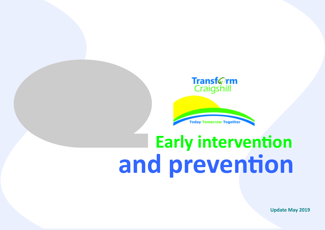

**Today Tomorrow Together** 

# **Early intervention and prevention**

**Update May 2019**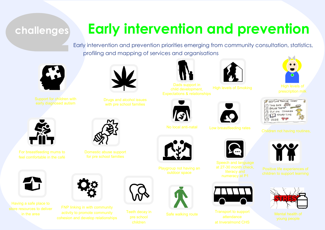### **challenges**

# **Early intervention and prevention**

Early intervention and prevention priorities emerging from community consultation, statistics, profiling and mapping of services and organisations

child development,





with pre school families





Expectations & relationships High levels of Smoking



No local anti-natal Low breastfeeding rates



at 27-30 month check,



Transport to support at Inveralmond CHS











For breastfeeding mums to feel comfortable in the café



Having a safe place to store resources to deliver in the area



Domestic abuse support for pre school families

FNP linking in with community activity to promote community

Teeth decay in



Playgroup not having an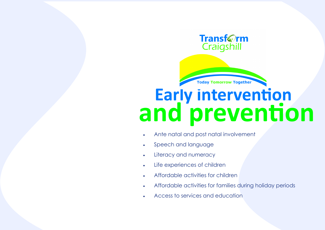#### **Transf**@rm Craigshill

**Today Tomorrow Together** 

# **Early intervention and prevention**

- Ante natal and post natal involvement
- Speech and language
- Literacy and numeracy
- Life experiences of children
- Affordable activities for children
- Affordable activities for families during holiday periods
- Access to services and education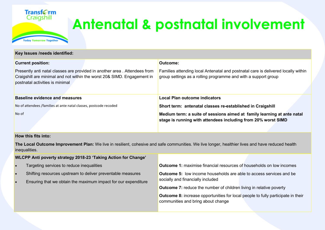

## **Antenatal & postnatal involvement**

| Key Issues /needs identified:                                                                                                                                                           |                                                                                                                                                     |  |  |  |  |  |
|-----------------------------------------------------------------------------------------------------------------------------------------------------------------------------------------|-----------------------------------------------------------------------------------------------------------------------------------------------------|--|--|--|--|--|
| <b>Current position:</b>                                                                                                                                                                | Outcome:                                                                                                                                            |  |  |  |  |  |
| Presently anti natal classes are provided in another area. Attendees from<br>Craigshill are minimal and not within the worst 20& SIMD. Engagement in<br>postnatal activities is minimal | Families attending local Antenatal and postnatal care is delivered locally within<br>group settings as a rolling programme and with a support group |  |  |  |  |  |
| <b>Baseline evidence and measures</b>                                                                                                                                                   | <b>Local Plan outcome indicators</b>                                                                                                                |  |  |  |  |  |
| No of attendees /families at ante natal classes, postcode recoded                                                                                                                       | Short term: antenatal classes re-established in Craigshill                                                                                          |  |  |  |  |  |
| No of                                                                                                                                                                                   | Medium term: a suite of sessions aimed at family learning at ante natal<br>stage is running with attendees including from 20% worst SIMD            |  |  |  |  |  |

#### **How this fits into:**

**The Local Outcome Improvement Plan:** We live in resilient, cohesive and safe communities. We live longer, healthier lives and have reduced health inequalities.

|   | WLCPP Anti poverty strategy 2018-23 'Taking Action for Change'                                                                |                                                                                                                               |
|---|-------------------------------------------------------------------------------------------------------------------------------|-------------------------------------------------------------------------------------------------------------------------------|
|   | Targeting services to reduce inequalities                                                                                     | <b>Outcome 1:</b> maximise financial resources of households on low incomes                                                   |
| ▪ | Shifting resources upstream to deliver preventable measures<br>Ensuring that we obtain the maximum impact for our expenditure | <b>Outcome 5:</b> low income households are able to access services and be<br>socially and financially included               |
|   |                                                                                                                               | <b>Outcome 7:</b> reduce the number of children living in relative poverty                                                    |
|   |                                                                                                                               | <b>Outcome 8:</b> increase opportunities for local people to fully participate in their<br>communities and bring about change |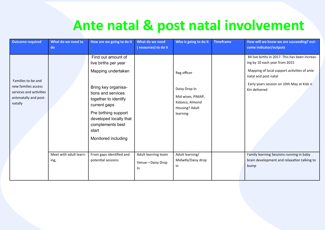### **Ante natal & post natal involvement**

| <b>Outcome required</b>                                                                                  | What do we need to<br>do       | How are we going to do it                                                                                                                                                                                                                                   | What do we need<br>(resources) to do it       | Who is going to do it                                                                              | <b>Timeframe</b> | How will we know we are succeeding? out-<br>come indicator/outputs                                                                                                                                                   |
|----------------------------------------------------------------------------------------------------------|--------------------------------|-------------------------------------------------------------------------------------------------------------------------------------------------------------------------------------------------------------------------------------------------------------|-----------------------------------------------|----------------------------------------------------------------------------------------------------|------------------|----------------------------------------------------------------------------------------------------------------------------------------------------------------------------------------------------------------------|
| Families to-be and<br>new families access<br>services and activities<br>antenatally and post-<br>natally |                                | Find out amount of<br>live births per year<br>Mapping undertaken<br>Bring key organisa-<br>tions and services<br>together to identify<br>current gaps<br>Pre birthing support<br>developed locally that<br>complements best<br>start<br>Monitored including |                                               | Reg officer<br>Daisy Drop In<br>Mid wives, PIMAP,<br>Kidzeco, Almond<br>Housing? Adult<br>learning |                  | 84 live births in 2017. This has been increas-<br>ing by 10 each year from 2015<br>Mapping of local support activities of ante<br>natal and post natal<br>Early years session on 10th May at Kidz n<br>Kin delivered |
|                                                                                                          | Meet with adult learn-<br>ing, | From gaps identified and<br>potential sessions                                                                                                                                                                                                              | Adult learning team<br>Venue-Daisy Drop<br>In | Adult learning/<br>Midwife/Daisy drop<br>in                                                        |                  | Family learning Sessions running in baby<br>brain development and relaxation talking to<br>bump                                                                                                                      |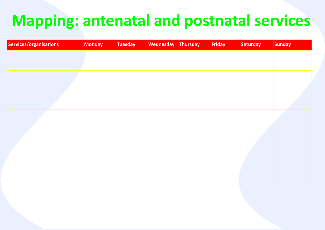# **Mapping: antenatal and postnatal services**

| Services/organisations | <b>Monday</b> | <b>Tuesday</b> | <b>Wednesday</b> | Thursday | Friday | Saturday | Sunday |
|------------------------|---------------|----------------|------------------|----------|--------|----------|--------|
|                        |               |                |                  |          |        |          |        |
|                        |               |                |                  |          |        |          |        |
|                        |               |                |                  |          |        |          |        |
|                        |               |                |                  |          |        |          |        |
|                        |               |                |                  |          |        |          |        |
|                        |               |                |                  |          |        |          |        |
|                        |               |                |                  |          |        |          |        |
|                        |               |                |                  |          |        |          |        |
|                        |               |                |                  |          |        |          |        |
|                        |               |                |                  |          |        |          |        |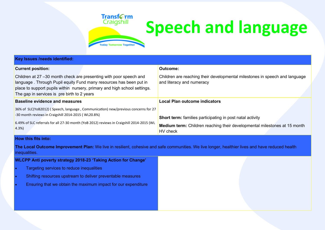

# **Speech and language**

| Key Issues /needs identified:                                                                                                                                                                                                                                        |                                                                                                                                                                  |
|----------------------------------------------------------------------------------------------------------------------------------------------------------------------------------------------------------------------------------------------------------------------|------------------------------------------------------------------------------------------------------------------------------------------------------------------|
| <b>Current position:</b>                                                                                                                                                                                                                                             | <b>Outcome:</b>                                                                                                                                                  |
| Children at 27 -30 month check are presenting with poor speech and<br>language. Through Pupil equity Fund many resources has been put in<br>place to support pupils within nursery, primary and high school settings.<br>The gap in services is pre birth to 2 years | Children are reaching their developmental milestones in speech and language<br>and literacy and numeracy                                                         |
| <b>Baseline evidence and measures</b>                                                                                                                                                                                                                                | Local Plan outcome indicators                                                                                                                                    |
| 36% of SLC(YoB2012) (Speech, language, Communication) new/previous concerns for 27<br>-30 month reviews in Craigshill 2014-2015 (WL20.8%)<br>6.49% of SLC referrals for all 27-30 month (YoB 2012) reviews in Craigshill 2014-2015 (WL<br>4.3%                       | <b>Short term:</b> families participating in post natal activity<br><b>Medium term:</b> Children reaching their developmental milestones at 15 month<br>HV check |
| <b>How this fits into:</b>                                                                                                                                                                                                                                           |                                                                                                                                                                  |

**The Local Outcome Improvement Plan:** We live in resilient, cohesive and safe communities. We live longer, healthier lives and have reduced health inequalities.

| WLCPP Anti poverty strategy 2018-23 'Taking Action for Change' |  |  |
|----------------------------------------------------------------|--|--|
| Targeting services to reduce inequalities                      |  |  |
| Shifting resources upstream to deliver preventable measures    |  |  |
| Ensuring that we obtain the maximum impact for our expenditure |  |  |
|                                                                |  |  |
|                                                                |  |  |
|                                                                |  |  |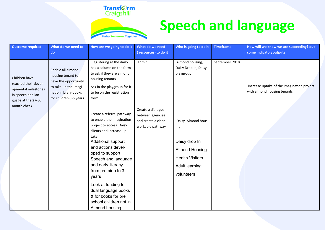### Transf©rm<br>Craigshill



**Today Tomorrow Together** 

| Outcome required                                                                                                        | What do we need to                                                                                                                        | How are we going to do it                                                                                                                                                                                                                                                                                                                                                                                                                                                                                                                                      | What do we need                                                                          | Who is going to do it                                                                                                                                                                  | <b>Timeframe</b> | How will we know we are succeeding? out-                                  |
|-------------------------------------------------------------------------------------------------------------------------|-------------------------------------------------------------------------------------------------------------------------------------------|----------------------------------------------------------------------------------------------------------------------------------------------------------------------------------------------------------------------------------------------------------------------------------------------------------------------------------------------------------------------------------------------------------------------------------------------------------------------------------------------------------------------------------------------------------------|------------------------------------------------------------------------------------------|----------------------------------------------------------------------------------------------------------------------------------------------------------------------------------------|------------------|---------------------------------------------------------------------------|
|                                                                                                                         | do                                                                                                                                        |                                                                                                                                                                                                                                                                                                                                                                                                                                                                                                                                                                | (resources) to do it                                                                     |                                                                                                                                                                                        |                  | come indicator/outputs                                                    |
| Children have<br>reached their devel-<br>opmental milestones<br>in speech and lan-<br>guage at the 27-30<br>month check | Enable all almond<br>housing tenant to<br>have the opportunity<br>to take up the Imagi-<br>nation library books<br>for children 0-5 years | Registering at the daisy<br>has a column on the form<br>to ask if they are almond<br>housing tenants<br>Ask in the playgroup for it<br>to be on the registration<br>form<br>Create a referral pathway<br>to enable the Imagination<br>project to access Daisy<br>clients and increase up-<br>take<br>Additional support<br>and actions devel-<br>oped to support<br>Speech and language<br>and early literacy<br>from pre birth to 3<br>years<br>Look at funding for<br>dual language books<br>& for books for pre<br>school children not in<br>Almond housing | admin<br>Create a dialogue<br>between agencies<br>and create a clear<br>workable pathway | Almond housing,<br>Daisy Drop In, Daisy<br>playgroup<br>Daisy, Almond hous-<br>ing<br>Daisy drop In<br><b>Almond Housing</b><br><b>Health Visitors</b><br>Adult learning<br>volunteers | September 2018   | Increase uptake of the imagination project<br>with almond housing tenants |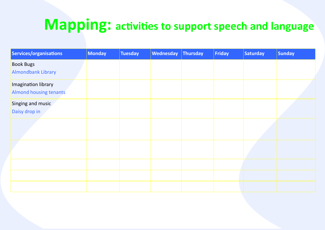## **Mapping: activities to support speech and language**

| Services/organisations        | <b>Monday</b> | Tuesday | <b>Wednesday</b> | Thursday | Friday | Saturday | <b>Sunday</b> |
|-------------------------------|---------------|---------|------------------|----------|--------|----------|---------------|
| <b>Book Bugs</b>              |               |         |                  |          |        |          |               |
| <b>Almondbank Library</b>     |               |         |                  |          |        |          |               |
| Imagination library           |               |         |                  |          |        |          |               |
| <b>Almond housing tenants</b> |               |         |                  |          |        |          |               |
| Singing and music             |               |         |                  |          |        |          |               |
| Daisy drop in                 |               |         |                  |          |        |          |               |
|                               |               |         |                  |          |        |          |               |
|                               |               |         |                  |          |        |          |               |
|                               |               |         |                  |          |        |          |               |
|                               |               |         |                  |          |        |          |               |
|                               |               |         |                  |          |        |          |               |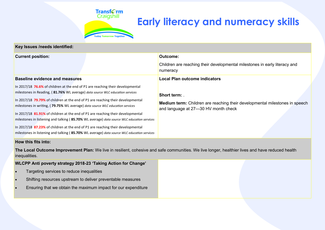

### **Early literacy and numeracy skills**

| Key Issues /needs identified:                                                                                                                                                                                                                                                                                                                                                                                                                                                                                                                                                                                                                                                                         |                                                                                                                                      |  |  |  |  |  |
|-------------------------------------------------------------------------------------------------------------------------------------------------------------------------------------------------------------------------------------------------------------------------------------------------------------------------------------------------------------------------------------------------------------------------------------------------------------------------------------------------------------------------------------------------------------------------------------------------------------------------------------------------------------------------------------------------------|--------------------------------------------------------------------------------------------------------------------------------------|--|--|--|--|--|
| <b>Current position:</b>                                                                                                                                                                                                                                                                                                                                                                                                                                                                                                                                                                                                                                                                              | Outcome:                                                                                                                             |  |  |  |  |  |
|                                                                                                                                                                                                                                                                                                                                                                                                                                                                                                                                                                                                                                                                                                       | Children are reaching their developmental milestones in early literacy and<br>numeracy                                               |  |  |  |  |  |
| <b>Baseline evidence and measures</b>                                                                                                                                                                                                                                                                                                                                                                                                                                                                                                                                                                                                                                                                 | <b>Local Plan outcome indicators</b>                                                                                                 |  |  |  |  |  |
| In 2017/18 76.6% of children at the end of P1 are reaching their developmental<br>milestones in Reading, (81.76% WL average) data source WLC education services<br>In 2017/18 79.79% of children at the end of P1 are reaching their developmental<br>milestones in writing, (79.75% WL average) data source WLC education services<br>In 2017/18 81.91% of children at the end of P1 are reaching their developmental<br>milestones in listening and talking (85.70% WL average) data source WLC education services<br>In 2017/18 87.23% of children at the end of P1 are reaching their developmental<br>milestones in listening and talking (85.70% WL average) data source WLC education services | Short term: .<br>Medium term: Children are reaching their developmental milestones in speech<br>and language at 27-30 HV month check |  |  |  |  |  |
| How this fits into:                                                                                                                                                                                                                                                                                                                                                                                                                                                                                                                                                                                                                                                                                   |                                                                                                                                      |  |  |  |  |  |
| The Local Outcome Improvement Plan: We live in resilient, cohesive and safe communities. We live longer, healthier lives and have reduced health<br>inequalities.                                                                                                                                                                                                                                                                                                                                                                                                                                                                                                                                     |                                                                                                                                      |  |  |  |  |  |
| WLCPP Anti poverty strategy 2018-23 'Taking Action for Change'                                                                                                                                                                                                                                                                                                                                                                                                                                                                                                                                                                                                                                        |                                                                                                                                      |  |  |  |  |  |
| Targeting services to reduce inequalities<br>$\bullet$                                                                                                                                                                                                                                                                                                                                                                                                                                                                                                                                                                                                                                                |                                                                                                                                      |  |  |  |  |  |
| Shifting resources upstream to deliver preventable measures<br>$\bullet$                                                                                                                                                                                                                                                                                                                                                                                                                                                                                                                                                                                                                              |                                                                                                                                      |  |  |  |  |  |
| Ensuring that we obtain the maximum impact for our expenditure<br>$\bullet$                                                                                                                                                                                                                                                                                                                                                                                                                                                                                                                                                                                                                           |                                                                                                                                      |  |  |  |  |  |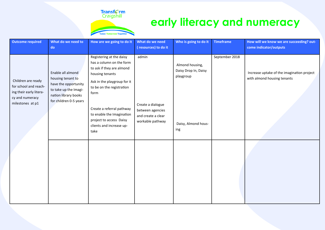

### **early literacy and numeracy**

| <b>Outcome required</b>                                                                                       | What do we need to<br>do                                                                                                                  | How are we going to do it                                                                                                                                                                                                                                                                         | What do we need<br>(resources) to do it                                                  | Who is going to do it                                                              | <b>Timeframe</b> | How will we know we are succeeding? out-<br>come indicator/outputs        |
|---------------------------------------------------------------------------------------------------------------|-------------------------------------------------------------------------------------------------------------------------------------------|---------------------------------------------------------------------------------------------------------------------------------------------------------------------------------------------------------------------------------------------------------------------------------------------------|------------------------------------------------------------------------------------------|------------------------------------------------------------------------------------|------------------|---------------------------------------------------------------------------|
| Children are ready<br>for school and reach-<br>ing their early litera-<br>cy and numeracy<br>milestones at p1 | Enable all almond<br>housing tenant to<br>have the opportunity<br>to take up the Imagi-<br>nation library books<br>for children 0-5 years | Registering at the daisy<br>has a column on the form<br>to ask if they are almond<br>housing tenants<br>Ask in the playgroup for it<br>to be on the registration<br>form<br>Create a referral pathway<br>to enable the Imagination<br>project to access Daisy<br>clients and increase up-<br>take | admin<br>Create a dialogue<br>between agencies<br>and create a clear<br>workable pathway | Almond housing,<br>Daisy Drop In, Daisy<br>playgroup<br>Daisy, Almond hous-<br>ing | September 2018   | Increase uptake of the imagination project<br>with almond housing tenants |
|                                                                                                               |                                                                                                                                           |                                                                                                                                                                                                                                                                                                   |                                                                                          |                                                                                    |                  |                                                                           |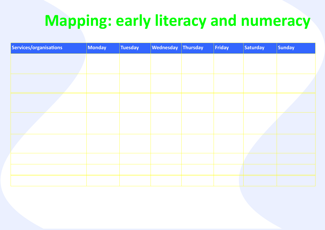# **Mapping: early literacy and numeracy**

| Services/organisations | Monday | <b>Tuesday</b> | Wednesday Thursday | Friday | <b>Saturday</b> | Sunday |
|------------------------|--------|----------------|--------------------|--------|-----------------|--------|
|                        |        |                |                    |        |                 |        |
|                        |        |                |                    |        |                 |        |
|                        |        |                |                    |        |                 |        |
|                        |        |                |                    |        |                 |        |
|                        |        |                |                    |        |                 |        |
|                        |        |                |                    |        |                 |        |
|                        |        |                |                    |        |                 |        |
|                        |        |                |                    |        |                 |        |
|                        |        |                |                    |        |                 |        |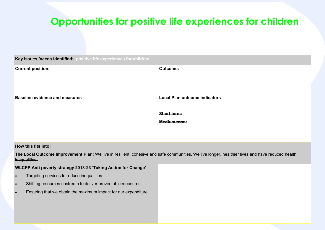#### **Opportunities for positive life experiences for children**

| Key Issues /needs identified: positive life experiences for children |                                                                            |  |  |  |
|----------------------------------------------------------------------|----------------------------------------------------------------------------|--|--|--|
| <b>Current position:</b>                                             | Outcome:                                                                   |  |  |  |
| <b>Baseline evidence and measures</b>                                | Local Plan outcome indicators<br><b>Short term:</b><br><b>Medium term:</b> |  |  |  |

**How this fits into:**

**The Local Outcome Improvement Plan:** We live in resilient, cohesive and safe communities. We live longer, healthier lives and have reduced health inequalities.

**WLCPP Anti poverty strategy 2018-23 'Taking Action for Change'** 

- Targeting services to reduce inequalities
- Shifting resources upstream to deliver preventable measures
- Ensuring that we obtain the maximum impact for our expenditure